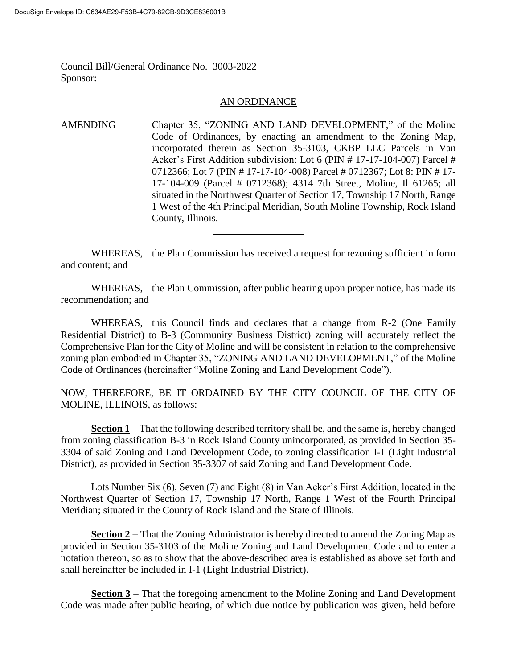Council Bill/General Ordinance No. 3003-2022 Sponsor:

## AN ORDINANCE

AMENDING Chapter 35, "ZONING AND LAND DEVELOPMENT," of the Moline Code of Ordinances, by enacting an amendment to the Zoning Map, incorporated therein as Section 35-3103, CKBP LLC Parcels in Van Acker's First Addition subdivision: Lot 6 (PIN # 17-17-104-007) Parcel # 0712366; Lot 7 (PIN # 17-17-104-008) Parcel # 0712367; Lot 8: PIN # 17- 17-104-009 (Parcel # 0712368); 4314 7th Street, Moline, Il 61265; all situated in the Northwest Quarter of Section 17, Township 17 North, Range 1 West of the 4th Principal Meridian, South Moline Township, Rock Island County, Illinois.

WHEREAS, the Plan Commission has received a request for rezoning sufficient in form and content; and

WHEREAS, the Plan Commission, after public hearing upon proper notice, has made its recommendation; and

WHEREAS, this Council finds and declares that a change from R-2 (One Family Residential District) to B-3 (Community Business District) zoning will accurately reflect the Comprehensive Plan for the City of Moline and will be consistent in relation to the comprehensive zoning plan embodied in Chapter 35, "ZONING AND LAND DEVELOPMENT," of the Moline Code of Ordinances (hereinafter "Moline Zoning and Land Development Code").

NOW, THEREFORE, BE IT ORDAINED BY THE CITY COUNCIL OF THE CITY OF MOLINE, ILLINOIS, as follows:

**Section 1** – That the following described territory shall be, and the same is, hereby changed from zoning classification B-3 in Rock Island County unincorporated, as provided in Section 35- 3304 of said Zoning and Land Development Code, to zoning classification I-1 (Light Industrial District), as provided in Section 35-3307 of said Zoning and Land Development Code.

Lots Number Six (6), Seven (7) and Eight (8) in Van Acker's First Addition, located in the Northwest Quarter of Section 17, Township 17 North, Range 1 West of the Fourth Principal Meridian; situated in the County of Rock Island and the State of Illinois.

**Section 2** – That the Zoning Administrator is hereby directed to amend the Zoning Map as provided in Section 35-3103 of the Moline Zoning and Land Development Code and to enter a notation thereon, so as to show that the above-described area is established as above set forth and shall hereinafter be included in I-1 (Light Industrial District).

**Section 3** – That the foregoing amendment to the Moline Zoning and Land Development Code was made after public hearing, of which due notice by publication was given, held before